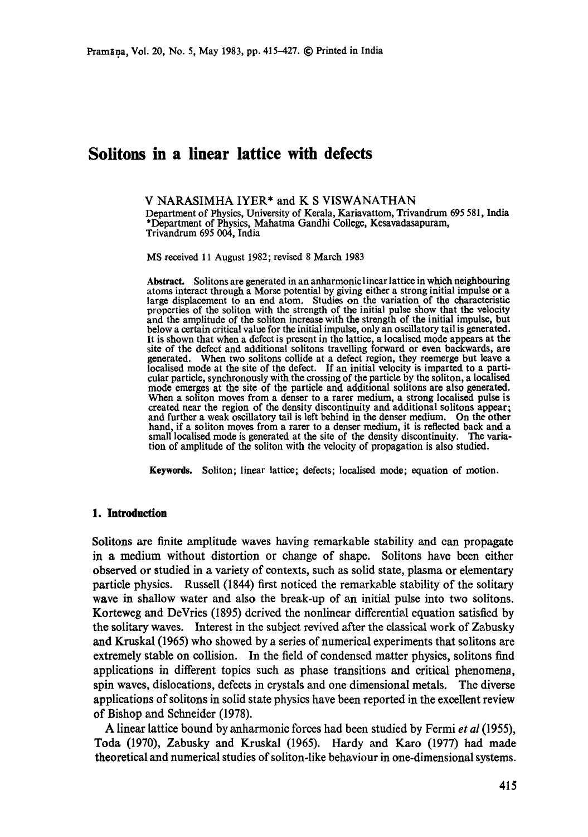# **Solitons in a linear lattice with defects**

#### V NARASIMHA IYER\* and K S VISWANATHAN

Department of Physics, University of Kerala, Kariavattom, Trivandrum 695 581, India \*Department of Physics, Mahatma Gandhi College, Kesavadasapuram, Trivandrum 695 004, India

MS received 11 August 1982; revised 8 March 1983

**Abstract.** Solitons are generated in an anharmonic linear lattice in which neighbouring atoms interact through a Morse potential by giving either a strong initial impulse or a large displacement to an end atom. Studies on the variation of the characteristic properties of the soliton with the strength of the initial pulse show that the velocity and the amplitude of the soliton increase with the strength of the initial impulse, but below a certain critical value for the initial impulse, only an oscillatory tail is generated. It is shown that when a defect is present in the lattice, a localised mode appears at the site of the defect and additional solitons travelling forward or even backwards, are generated. When two solitons collide at a defect region, they reemerge but leave a localised mode at the site of the defect. If an initial velocity is imparted to a particular particle, synchronously with the crossing of the particle by the soliton, a localised mode emerges at the site of the particle and additional solitons are also generated. When a soliton moves from a denser to a rarer medium, a strong localised pulse is created near the region of the density discontinuity and additional solitons appear; and further a weak oscillatory tail is left behind in the denser medium. On the other hand, if a soliton moves from a rarer to a denser medium, it is reflected back and a small localised mode is generated at the site of the density discontinuity. The variation of amplitude of the soliton with the velocity of propagation is also studied.

**Keywords.** Soliton; linear lattice; defects; localised mode; equation of motion.

## **1. Introduction**

Solitons are finite amplitude waves having remarkable stability and can propagate in a medium without distortion or change of shape. Solitons have been either observed or studied in a variety of contexts, such as solid state, plasma or elementary particle physics. Russell (1844) first noticed the remarkable stability of the solitary wave in shallow water and also the break-up of an initial pulse into two solitons. Korteweg and DeVries (1895) derived the nonlinear differential equation satisfied by the solitary waves. Interest in the subject revived after the classical work of Zabusky and Kruskal (1965) who showed by a series of numerical experiments that solitons are extremely stable on collision. In the field of condensed matter physics, solitons find applications in different topics such as phase transitions and critical phenomena, spin waves, dislocations, defects in crystals and one dimensional metals. The diverse applications of solitons in solid state physics have been reported in the excellent review of Bishop and Schneider (1978).

A linear lattice bound by anharmonie forces had been studied by Fermi *et al* (1955), Toda (1970), Zabusky and Kruskal (1965). Hardy and Karo (1977) had made theoretical and numerical studies of soliton-like behaviour in one-dimensional systems.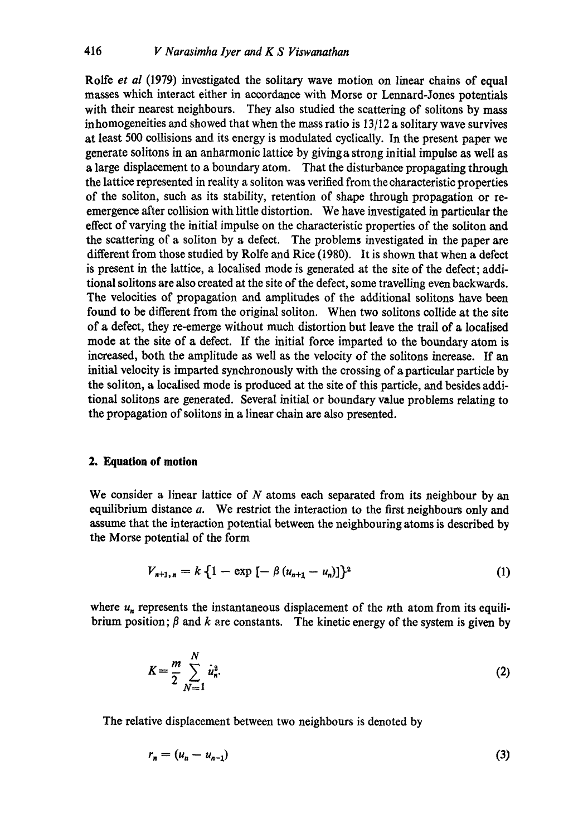Rolfe *et al* (1979) investigated the solitary wave motion on linear chains of equal masses which interact either in accordance with Morse or Lennard-Jones potentials with their nearest neighbours. They also studied the scattering of solitons by mass inhomogeneities and showed that when the mass ratio is 13/12 a solitary wave survives at least 500 collisions and its energy is modulated cyclically. In the present paper we generate solitons in an anharmonie lattice by givinga strong initial impulse as well as a large displacement to a boundary atom. That the disturbance propagating through the lattice represented in reality a soliton was verified from the characteristic properties of the soliton, such as its stability, retention of shape through propagation or reemergence after collision with little distortion. We have investigated in particular the effect of varying the initial impulse on the characteristic properties of the soliton and the scattering of a soliton by a defect. The problems investigated in the paper are different from those studied by Rolfe and Rice (1980). It is shown that when a defect is present in the lattice, a localised mode is generated at the site of the defect; additional solitons are also created at the site of the defect, some travelling even backwards. The velocities of propagation and amplitudes of the additional solitons have been found to be different from the original soliton. When two solitons collide at the site of a defect, they re-emerge without much distortion but leave the trail of a localised mode at the site of a defect. If the initial force imparted to the boundary atom is increased, both the amplitude as well as the velocity of the solitons increase. If an initial velocity is imparted synchronously with the crossing of a particular particle by the soliton, a localised mode is produced at the site of this particle, and besides additional solitons are generated. Several initial or boundary value problems relating to the propagation of solitons in a linear chain are also presented.

## **2. Equation of motion**

We consider a linear lattice of  $N$  atoms each separated from its neighbour by an equilibrium distance a. We restrict the interaction to the first neighbours only and assume that the interaction potential between the neighbouring atoms is described by the Morse potential of the form

$$
V_{n+1,n} = k \left\{ 1 - \exp\left[ -\beta \left( u_{n+1} - u_n \right) \right] \right\}^2 \tag{1}
$$

where  $u_n$  represents the instantaneous displacement of the nth atom from its equilibrium position;  $\beta$  and k are constants. The kinetic energy of the system is given by

$$
K = \frac{m}{2} \sum_{N=1}^{N} \dot{u}_n^2.
$$
 (2)

The relative displacement between two neighbours is denoted by

$$
r_n = (u_n - u_{n-1}) \tag{3}
$$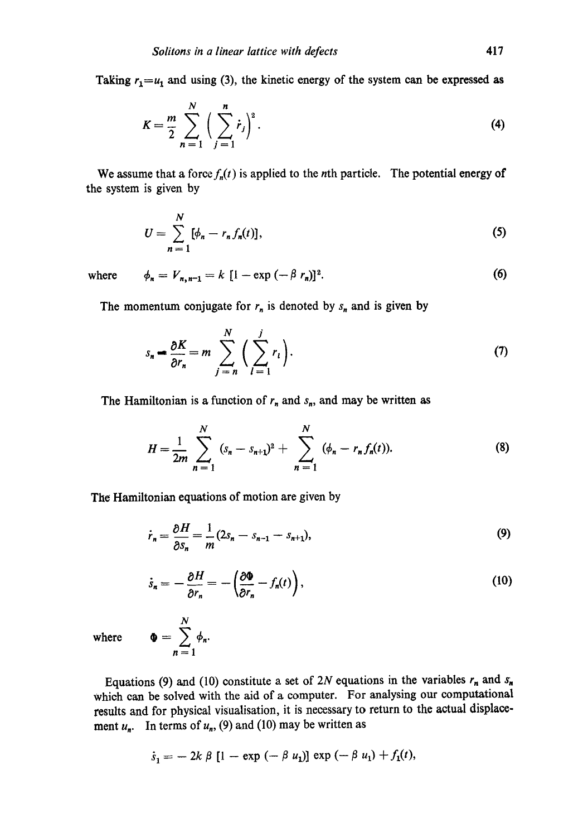Taking  $r_1 = u_1$  and using (3), the kinetic energy of the system can be expressed as

$$
K = \frac{m}{2} \sum_{n=1}^{N} \left( \sum_{j=1}^{n} \dot{r}_{j} \right)^{2}.
$$
 (4)

We assume that a force  $f_n(t)$  is applied to the *n*th particle. The potential energy of the system is given by

$$
U = \sum_{n=1}^{N} [\phi_n - r_n f_n(t)],
$$
 (5)

where  $\phi_n = V_{n,n-1} = k [1 - \exp(-\beta r_n)]^2.$  (6)

The momentum conjugate for  $r_n$  is denoted by  $s_n$  and is given by

$$
s_n = \frac{\partial K}{\partial r_n} = m \sum_{j=n}^{N} \left( \sum_{l=1}^{j} r_l \right). \tag{7}
$$

The Hamiltonian is a function of  $r_n$  and  $s_n$ , and may be written as

$$
H = \frac{1}{2m} \sum_{n=1}^{N} (s_n - s_{n+1})^2 + \sum_{n=1}^{N} (\phi_n - r_n f_n(t)).
$$
 (8)

The Hamiltonian equations of motion are given by

N  $\Phi = \sum \phi_n$  $n=$ 

$$
\dot{r}_n = \frac{\partial H}{\partial s_n} = \frac{1}{m} (2s_n - s_{n-1} - s_{n+1}),
$$
\n(9)

$$
\dot{s}_n = -\frac{\partial H}{\partial r_n} = -\left(\frac{\partial \Phi}{\partial r_n} - f_n(t)\right),\tag{10}
$$

where

Equations (9) and (10) constitute a set of 2N equations in the variables  $r_n$  and  $s_n$ which can be solved with the aid of a computer. For analysing our computational results and for physical visualisation, it is necessary to return to the actual displacement  $u_n$ . In terms of  $u_n$ , (9) and (10) may be written as

$$
\dot{s}_1 = -2k \beta [1 - \exp(-\beta u_1)] \exp(-\beta u_1) + f_1(t),
$$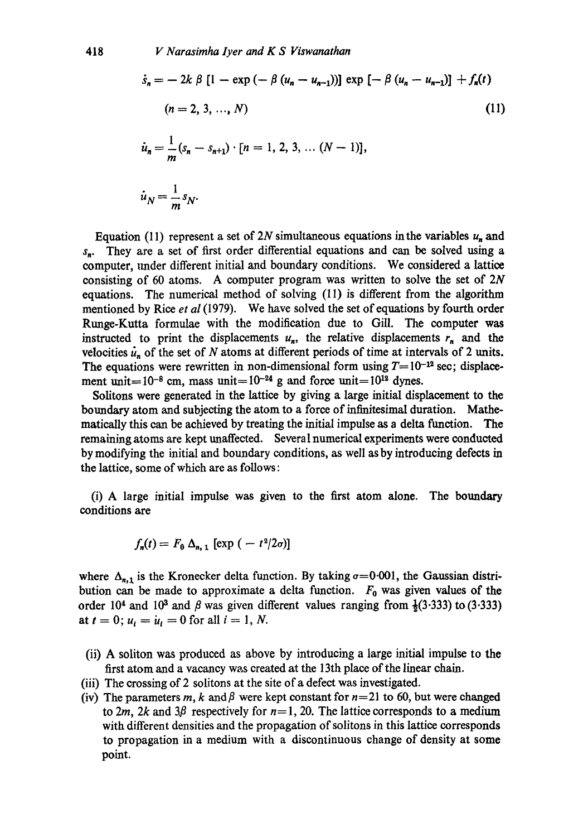$$
\dot{s}_n = -2k \beta [1 - \exp(-\beta (u_n - u_{n-1}))] \exp[-\beta (u_n - u_{n-1})] + f_n(t)
$$
  
(n = 2, 3, ..., N)  

$$
\dot{u}_n = \frac{1}{m}(s_n - s_{n+1}) \cdot [n = 1, 2, 3, ..., (N-1)],
$$
  

$$
\dot{u}_N = \frac{1}{m}s_N.
$$
 (11)

Equation (11) represent a set of 2N simultaneous equations in the variables  $u_n$  and  $s_n$ . They are a set of first order differential equations and can be solved using a computer, under different initial and boundary conditions. We considered a lattice consisting of 60 atoms. A computer program was written to solve the set of 2N equations. The numerical method of solving (11) is different from the algorithm mentioned by Rice *et al* (1979). We have solved the set of equations by fourth order Runge-Kutta formulae with the modification due to Gill. The computer was instructed to print the displacements  $u_n$ , the relative displacements  $r_n$  and the velocities  $\dot{u}_n$  of the set of N atoms at different periods of time at intervals of 2 units. The equations were rewritten in non-dimensional form using  $T= 10^{-12}$  sec; displacement unit=10<sup>-8</sup> cm, mass unit=10<sup>-24</sup> g and force unit=10<sup>12</sup> dynes.

Solitons were generated in the lattice by giving a large initial displacement to the boundary atom and subjecting the atom to a force of infinitesimal duration. Mathematically this can be achieved by treating the initial impulse as a delta function. The remaining atoms are kept unaffected. Several numerical experiments were conducted by modifying the initial and boundary conditions, as well as by introducing defects in the lattice, some of which are as follows:

(i) A large initial impulse was given to the first atom alone. The boundary conditions are

$$
f_n(t) = F_0 \Delta_{n,1} [\exp(-t^2/2\sigma)]
$$

where  $\Delta_{n,1}$  is the Kronecker delta function. By taking  $\sigma=0.001$ , the Gaussian distribution can be made to approximate a delta function.  $F_0$  was given values of the order 10<sup>4</sup> and 10<sup>3</sup> and  $\beta$  was given different values ranging from  $\frac{1}{2}(3.333)$  to (3.333) at  $t = 0$ ;  $u_i = \dot{u}_i = 0$  for all  $i = 1, N$ .

- (ii) A soliton was produced as above by introducing a large initial impulse to the first atom and a vacancy was created at the 13th place of the linear chain.
- (iii) The crossing of 2 solitons at the site of a defect was investigated.
- (iv) The parameters m, k and  $\beta$  were kept constant for  $n=21$  to 60, but were changed to 2m, 2k and 3 $\beta$  respectively for  $n=1$ , 20. The lattice corresponds to a medium with different densities and the propagation of solitons in this lattice corresponds to propagation in a medium with a discontinuous change of density at some point.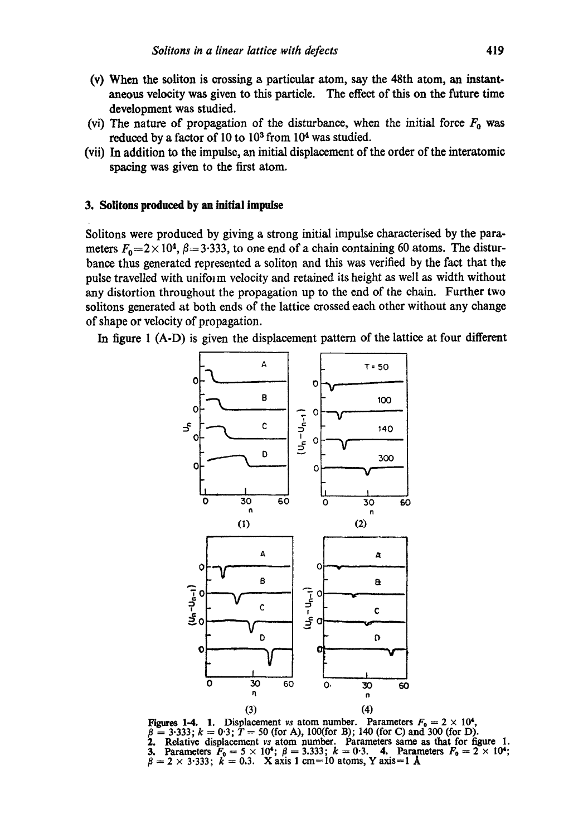- (v) When the soliton is crossing a particular atom, say the 48th atom, an instantaneous velocity was given to this particle. The effect of this on the future time development was studied.
- (vi) The nature of propagation of the disturbance, when the initial force  $F_0$  was reduced by a factor of 10 to 103 from 104 was studied.
- (vii) In addition to the impulse, an initial displacement of the order of the interatomic spacing was given to the first atom.

## **3. Sulitons produced by an initial impulse**

Solitons were produced by giving a strong initial impulse eharacterised by the parameters  $F_0=2\times 10^4$ ,  $\beta=3.333$ , to one end of a chain containing 60 atoms. The disturbance thus generated represented a soliton and this was verified by the fact that the pulse travelled with uniform velocity and retained its height as well as width without any distortion throughout the propagation up to the end of the chain. Further two solitons generated at both ends of the lattice crossed each other without any change of shape or velocity of propagation.

In figure I (A-D) is given the displacement pattern of the lattice at four different



**Figures 1-4.** 1. Displacement *vs* atom number. Parameters  $F_0 = 2 \times 10^4$ ,  $\beta = 3.333$ ;  $k = 0.3$ ;  $T = 50$  (for A), 100(for B); 140 (for C) and 300 (for D). 2. Relative displacement *vs* atom number. Parameters same as that for figure 1. **3.** Parameters  $F_0 = 5 \times 10^4$ ;  $\beta = 3.333$ ;  $k = 0.3$ . **4.** Parameters  $F_0 = 2 \times 10^4$ ;  $=2\times3.333$ ;  $\vec{k}=0.3$ . Xaxis 1 cm=10 atoms, Y axis=1 Å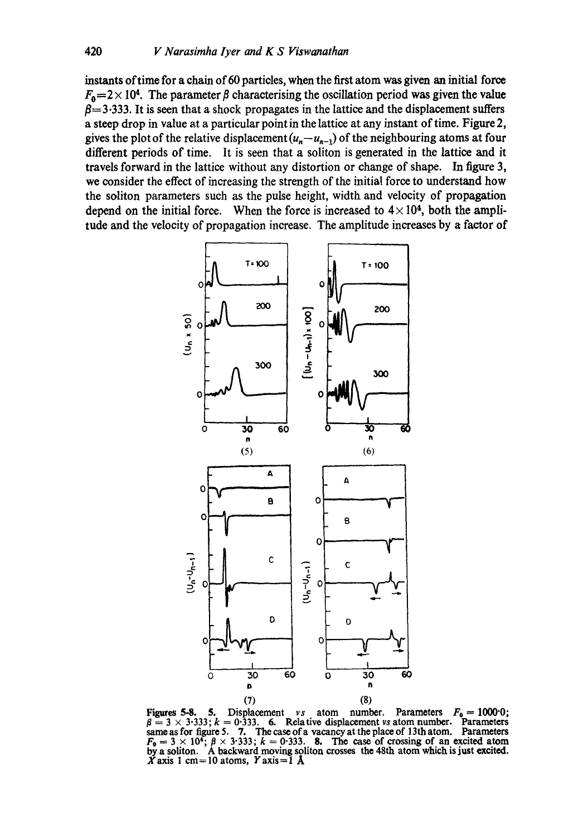instants oftime for a chain of 60 particles, when the first atom was given an initial force  $F_0$  = 2 × 10<sup>4</sup>. The parameter  $\beta$  characterising the oscillation period was given the value  $\beta$ =3.333. It is seen that a shock propagates in the lattice and the displacement suffers a steep drop in value at a particular point in the lattice at any instant of time. Figure 2, gives the plot of the relative displacement  $(u_n-u_{n-1})$  of the neighbouring atoms at four different periods of time. It is seen that a soliton is generated in the lattice and it travels forward in the lattice without any distortion or change of shape. In figure 3, we consider the effect of increasing the strength of the initial force to understand how the soliton parameters such as the pulse height, width and velocity of propagation depend on the initial force. When the force is increased to  $4 \times 10^4$ , both the amplitude and the velocity of propagation increase. The amplitude increases by a factor of



Figures 5-8. 5. Displacement vs atom number. Parameters  $F_0 = 1000^{\circ}0$ ;  $\beta = 3 \times 3.333$ ;  $k = 0.333$ . 6. Relative displacement vs atom number. Parameters same as for figure 5. 7. The case of a vacancy at the place of 13th atom. Parameters  $F_0 = 3 \times 10^4$ ;  $\beta \times 3.333$ ;  $k = 0.333$ . 8. The case of crossing of an excited atom by a soliton. A backward moving soliton crosses the 48th atom which is just excited.  $X$  axis 1 cm = 10 atoms,  $Y$  axis = 1 A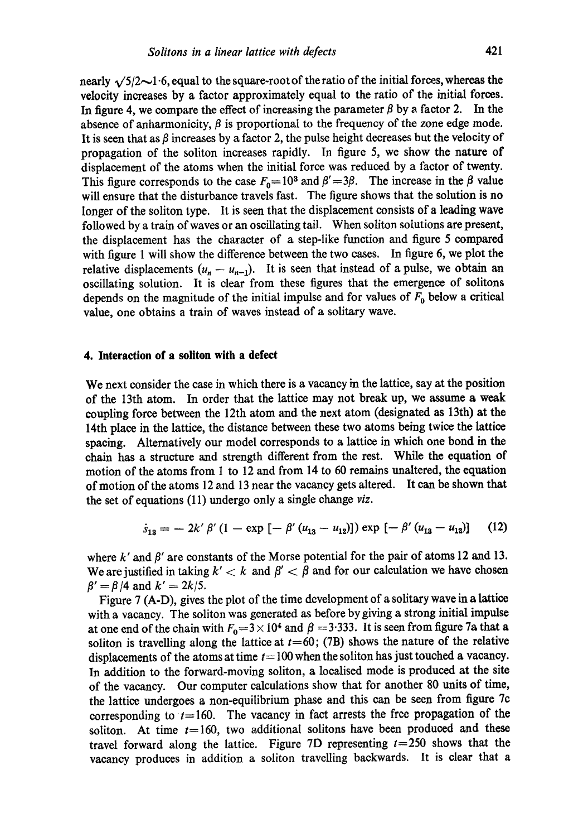nearly  $\sqrt{5/2}$   $\sim$  1.6, equal to the square-root of the ratio of the initial forces, whereas the velocity increases by a factor approximately equal to the ratio of the initial forces. In figure 4, we compare the effect of increasing the parameter  $\beta$  by a factor 2. In the absence of anharmonicity,  $\beta$  is proportional to the frequency of the zone edge mode. It is seen that as  $\beta$  increases by a factor 2, the pulse height decreases but the velocity of propagation of the soliton increases rapidly. In figure 5, we show the nature of displacement of the atoms when the initial force was reduced by a factor of twenty. This figure corresponds to the case  $F_0=10^3$  and  $\beta'=3\beta$ . The increase in the  $\beta$  value will ensure that the disturbance travels fast. The figure shows that the solution is no longer of the soliton type. It is seen that the displacement consists of a leading wave followed by a train of waves or an oscillating tail. When soliton solutions are present, the displacement has the character of a step-like function and figure 5 compared with figure 1 will show the difference between the two cases. In figure 6, we plot the relative displacements  $(u_n - u_{n-1})$ . It is seen that instead of a pulse, we obtain an oscillating solution. It is clear from these figures that the emergence of solitons depends on the magnitude of the initial impulse and for values of  $F_0$  below a critical value, one obtains a train of waves instead of a solitary wave.

## **4. Interaction of a soliton with a defect**

We next consider the case in which there is a vacancy in the lattice, say at the position of the 13th atom. In order that the lattice may not break up, we assume a weak coupling force between the 12th atom and the next atom (designated as 13th) at the 14th place in the lattice, the distance between these two atoms being twice the lattice spacing. Alternatively our model corresponds to a lattice in which one bond in the chain has a structure and strength different from the rest. While the equation of motion of the atoms from 1 to 12 and from 14 to 60 remains unaltered, the equation of motion of the atoms 12 and 13 near the vacancy gets altered. It can be shown that the set of equations (11) undergo only a single change *viz.* 

$$
\dot{s}_{13} = -2k' \beta' (1 - \exp[-\beta'(u_{13} - u_{12})]) \exp[-\beta'(u_{13} - u_{12})] \quad (12)
$$

where k' and  $\beta'$  are constants of the Morse potential for the pair of atoms 12 and 13. We are justified in taking  $k' < k$  and  $\beta' < \beta$  and for our calculation we have chosen  $\beta' = \beta/4$  and  $k' = 2k/5$ .

Figure 7 (A-D), gives the plot of the time development of a solitary wave in a lattice with a vacancy. The soliton was generated as before by giving a strong initial impulse at one end of the chain with  $F_0=3 \times 10^4$  and  $\beta =3.333$ . It is seen from figure 7a that a soliton is travelling along the lattice at  $t=60$ ; (7B) shows the nature of the relative displacements of the atoms at time  $t = 100$  when the soliton has just touched a vacancy. In addition to the forward-moving soliton, a localised mode is produced at the site of the vacancy. Our computer calculations show that for another 80 units of time, the lattice undergoes a non-equilibrium phase and this can be seen from figure 7c corresponding to  $t=160$ . The vacancy in fact arrests the free propagation of the soliton. At time  $t= 160$ , two additional solitons have been produced and these travel forward along the lattice. Figure 7D representing  $t=250$  shows that the vacancy produces in addition a soliton travelling backwards. It is clear that a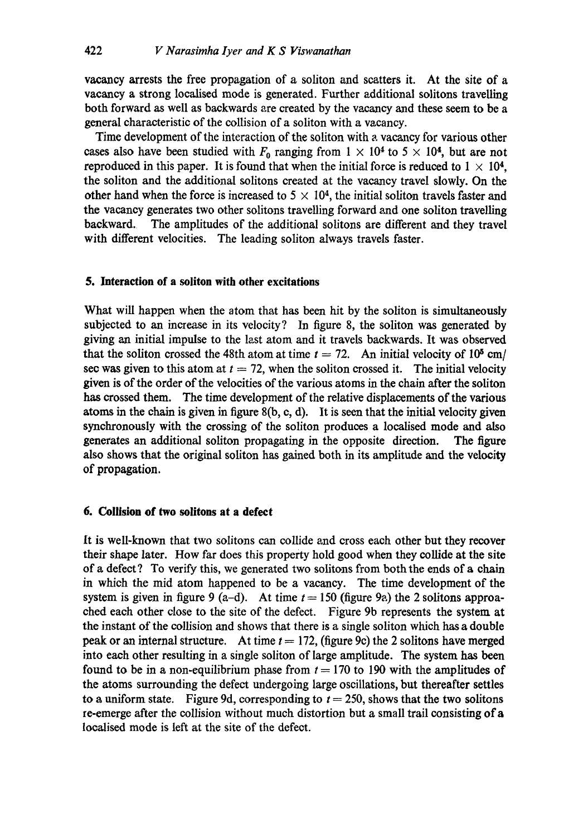vacancy arrests the free propagation of a soliton and scatters it. At the site of a vacancy a strong loealised mode is generated. Further additional solitons travelling both forward as well as backwards are created by the vacancy and these seem to be a general characteristic of the collision of a soliton with a vacancy.

Time development of the interaction of the soliton with a vacancy for various other cases also have been studied with  $F_0$  ranging from  $1 \times 10^4$  to  $5 \times 10^4$ , but are not reproduced in this paper. It is found that when the initial force is reduced to  $1 \times 10^4$ . the soliton and the additional solitons created at the vacancy travel slowly. On the other hand when the force is increased to  $5 \times 10^4$ , the initial soliton travels faster and **the** vacancy generates two other solitons travelling forward and one soliton travelling backward. The amplitudes of the additional solitons are different and they travel with different velocities. The leading soliton always travels faster.

## **5. Interaction of a soliton with other excitations**

What will happen when the atom that has been hit by the soliton is simultaneously subjected to an increase in its velocity? In figure 8, the soliton was generated by giving an initial impulse to the last atom and it travels backwards. It was observed that the soliton crossed the 48th atom at time  $t = 72$ . An initial velocity of 10<sup>5</sup> cm/ see was given to this atom at  $t = 72$ , when the soliton crossed it. The initial velocity given is of the order of the velocities of the various atoms in the chain after the soliton has crossed them. The time development of the relative displacements of the various atoms in the chain is given in figure  $8(b, c, d)$ . It is seen that the initial velocity given synchronously with the crossing of the soliton produces a localised mode and also generates an additional soliton propagating in the opposite direction. The figure also shows that the original soliton has gained both in its amplitude and the velocity of propagation.

## **6. Collision of two solitons at a defect**

It is well-known that two solitons can collide and cross each other but they recover their shape later. How far does this property hold good when they collide at the site of a defect? To verify this, we generated two solitons from both the ends of a chain in which the mid atom happened to be a vacancy. The time development of the system is given in figure 9 (a-d). At time  $t = 150$  (figure 9a) the 2 solitons approached each other close to the site of the defect. Figure 9b represents the system at the instant of the collision and shows that there is a single soliton which has a double peak or an internal structure. At time  $t = 172$ , (figure 9c) the 2 solitons have merged into each other resulting in a single soliton of large amplitude. The system has been found to be in a non-equilibrium phase from  $t = 170$  to 190 with the amplitudes of the atoms surrounding the defect undergoing large oscillations, but thereafter settles to a uniform state. Figure 9d, corresponding to  $t = 250$ , shows that the two solitons re-emerge after the collision without much distortion but a small trail consisting of a loealised mode is left at the site of the defect.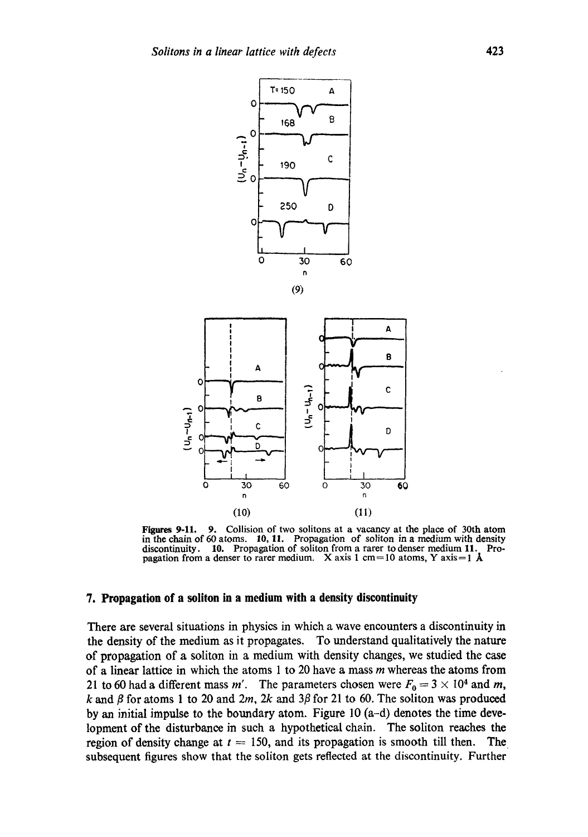

**Figures** 9-11. 9. **Collision of two solitons at a vacancy at the place of 30th atom in the chain of 60 atoms.** 10, 11. **Propagation of soliton in a medium with density discontinuity. 10. Propagation of soliton from a rarer to denser medium** 11. Propagation from a denser to rarer medium. X axis 1 cm=10 atoms, Y axis =  $1 \text{ Å}$ 

(11)

#### **7. Propagation of a soliton in a medium with a density discontinuity**

(10)

**There are several situations in physics in which a wave encounters a discontinuity in the density of the medium as it propagates. To understand qualitatively the nature of propagation of a soliton in a medium with density changes, we studied the case of a linear lattice in which the atoms 1 to 20 have a mass m whereas the atoms from**  21 to 60 had a different mass m'. The parameters chosen were  $F_0 = 3 \times 10^4$  and m,  $k$  and  $\beta$  for atoms 1 to 20 and 2m, 2k and 3 $\beta$  for 21 to 60. The soliton was produced **by an initial impulse to the boundary atom. Figure 10 (a-d) denotes the time development of the disturbance in such a hypothetical chain.** The soliton reaches the region of density change at  $t = 150$ , and its propagation is smooth till then. The **subsequent figures show that the soliton gets reflected at the discontinuity. Further**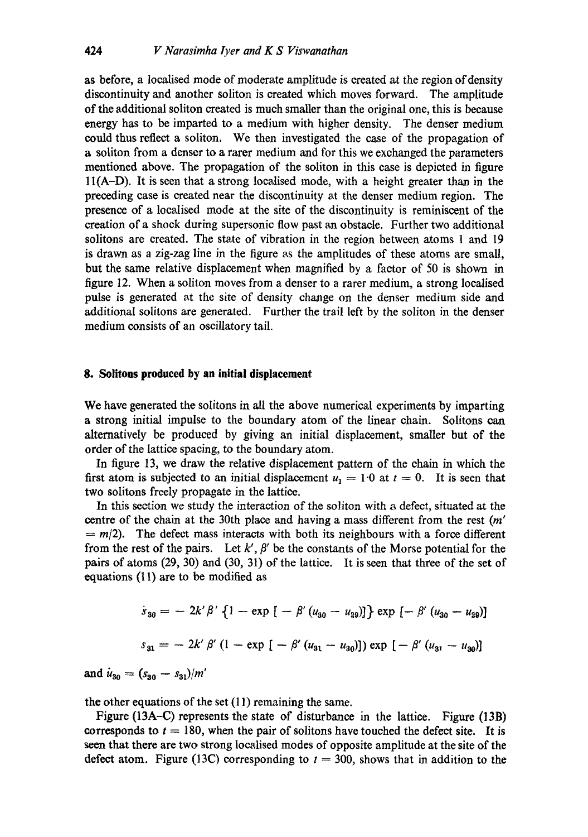as before, a localised mode of moderate amplitude is created at the region of density discontinuity and another soliton is created which moves forward. The amplitude of the additional soliton created is much smaller than the original one, this is because energy has to be imparted to a medium with higher density. The denser medium could thus reflect a soliton. We then investigated the ease of the propagation of a soliton from a denser to a rarer medium and for this we exchanged the parameters mentioned above. The propagation of the soliton in this case is depicted in figure 11(A-D). It is seen that a strong localised mode, with a height greater than in the preceding ease is created near the discontinuity at the denser medium region. The presence of a localised mode at the site of the discontinuity is reminiscent of the creation of a shock during supersonic flow past an obstacle. Further two additional solitons are created. The state of vibration in the region between atoms 1 and 19 is drawn as a zig-zag line in the figure as the amplitudes of these atoms are small, but the same relative displacement when magnified by a factor of 50 is shown in figure 12. When a soliton moves from a denser to a rarer medium, a strong localised pulse is generated at the site of density change on the denser medium side and additional solitons are generated. Further the trail left by the soliton in the denser medium consists of an oscillatory tail.

## **8. Solitons produced by an initial displacement**

We have generated the solitons in all the above numerical experiments by imparting a strong initial impulse to the boundary atom of the linear chain. Solitons can alternatively be produced by giving an initial displacement, smaller but of the order of the lattice spacing, to the boundary atom.

In figure 13, we draw the relative displacement pattern of the chain in which the first atom is subjected to an initial displacement  $u_1 = 1.0$  at  $t = 0$ . It is seen that two solitons freely propagate in the lattice.

In this section we study the interaction of the soliton with a defect, situated at the centre of the chain at the 30th place and having a mass different from the rest (m'  $= m/2$ ). The defect mass interacts with both its neighbours with a force different from the rest of the pairs. Let  $k'$ ,  $\beta'$  be the constants of the Morse potential for the pairs of atoms (29, 30) and (30, 31) of the lattice. It is seen that three of the set of equations (11) are to be modified as

$$
\dot{s}_{30} = -2k'\beta'\left\{1 - \exp\left[-\beta'\left(u_{30} - u_{29}\right)\right]\right\} \exp\left[-\beta'\left(u_{30} - u_{29}\right)\right]
$$
\n
$$
s_{31} = -2k'\beta'\left(1 - \exp\left[-\beta'\left(u_{31} - u_{30}\right)\right]\right) \exp\left[-\beta'\left(u_{31} - u_{30}\right)\right]
$$

and  $\dot{u}_{30} = (s_{30} - s_{31})/m'$ 

the other equations of the set (11) remaining the same.

Figure (13A-C) represents the state of disturbance in the lattice. Figure (13B) corresponds to  $t = 180$ , when the pair of solitons have touched the defect site. It is seen that there are two strong localised modes of opposite amplitude at the site of the defect atom. Figure (13C) corresponding to  $t = 300$ , shows that in addition to the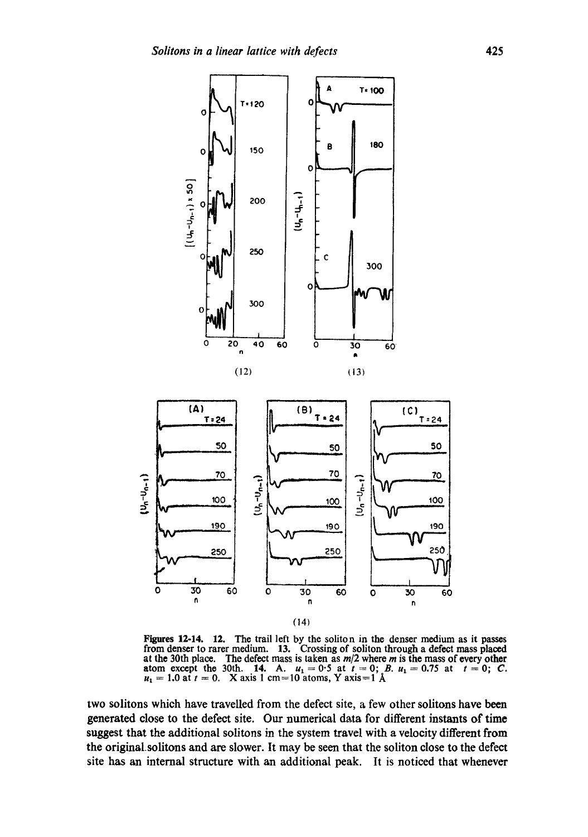

**Figures** 12-14. 12. **The trail left by the soliton in the denser medium as it passes from denser to rarer medium. 13. Crossing of soliton through a defect mass placed**  at the 30th place. The defect mass is taken as  $m/2$  where  $m$  is the mass of every other **atom except the 30th. 14.** A.  $u_1 = 0.5$  at  $t = 0$ ; B.  $u_1 = 0.75$  at  $t = 0$ ; C.  $u_1 = 1.0$  at  $t = 0$ . X axis 1 cm=10 atoms, Y axis=1  $\AA$ 

two solitons which have travelled from the defect site, a few other solitons have been **generated close to the defect site. Our numerical data for different instants of time suggest that the additional solitons in the system travel with a velocity different from the original.solitons and are slower. It may be seen that the soliton close to the defect site has an internal structure with an additional peak. It is noticed that whenever**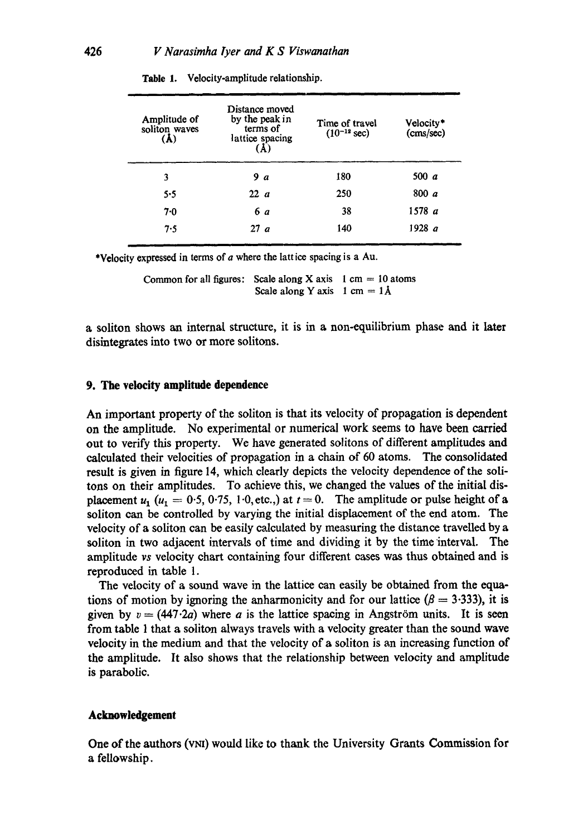| Amplitude of<br>soliton waves | Distance moved<br>by the peak in<br>terms of<br>lattice spacing<br>$\bf(A)$ | Time of travel<br>$(10^{-12}$ sec) | Velocity*<br>(cms/sec) |
|-------------------------------|-----------------------------------------------------------------------------|------------------------------------|------------------------|
| 3                             | 9 a                                                                         | 180                                | 500 $a$                |
| 5.5                           | 22a                                                                         | 250                                | 800 a                  |
| 7.0                           | 6 a                                                                         | 38                                 | 1578 a                 |
| 7.5                           | 27a                                                                         | 140                                | 1928 a                 |
|                               |                                                                             |                                    |                        |

**Table** 1. Velocity-amplitude relationship.

\*Velocity expressed in terms of  $a$  where the lattice spacing is a Au.

Common for all figures: Scale along X axis  $1 \text{ cm} = 10 \text{ atoms}$ Scale along Y axis 1 cm =  $1\text{\AA}$ 

a soliton shows an internal structure, it is in a non-equilibrium phase and it later disintegrates into two or more solitons.

#### **9. The velocity amplitude dependence**

An important property of the soliton is that its velocity of propagation is dependent on the amplitude. No experimental or numerical work seems to have been carried out to verify this property. We have generated solitons of different amplitudes and calculated their velocities of propagation in a chain of 60 atoms. The consolidated result is given in figure 14, which dearly depicts the velocity dependence of the solitons on their amplitudes. To achieve this, we changed the values of the initial displacement  $u_1$  ( $u_1 = 0.5, 0.75, 1.0,$ etc.,) at  $t = 0$ . The amplitude or pulse height of a soliton can be controlled by varying the initial displacement of the end atom. The velocity of a soliton can be easily calculated by measuring the distance travelled by a soliton in two adjacent intervals of time and dividing it by the time interval. The amplitude *vs* velocity chart containing four different cases was thus obtained and is reproduced in table 1.

The velocity of a sound wave in the lattice can easily be obtained from the equations of motion by ignoring the anharmonicity and for our lattice ( $\beta = 3.333$ ), it is given by  $v = (447.2a)$  where a is the lattice spacing in Angström units. It is seen from table 1 that a soliton always travels with a velocity greater than the sound wave velocity in the medium and that the velocity of a soliton is an increasing function of the amplitude. It also shows that the relationship between velocity and amplitude is parabolic.

## **Acknowledgement**

**One of the authors (VNI) would like to thank the University Grants Commission for** a fellowship.